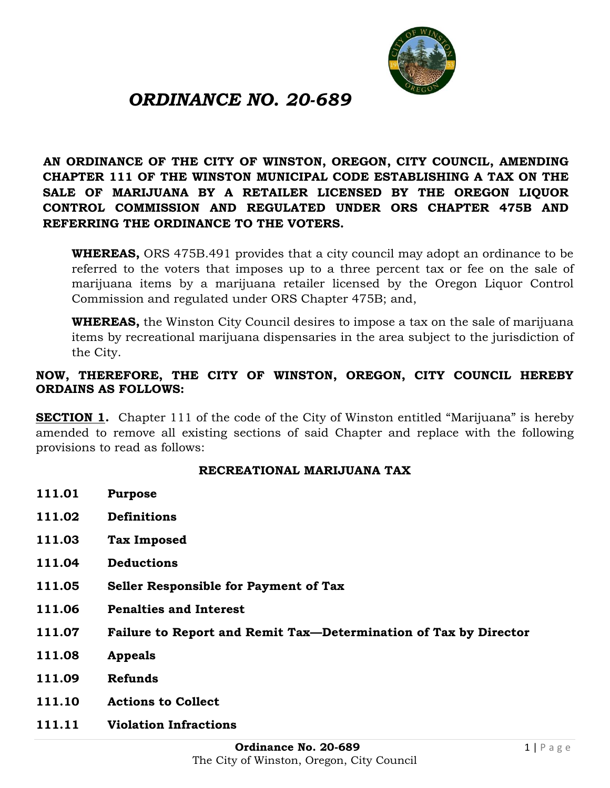

# *ORDINANCE NO. 20-689*

**AN ORDINANCE OF THE CITY OF WINSTON, OREGON, CITY COUNCIL, AMENDING CHAPTER 111 OF THE WINSTON MUNICIPAL CODE ESTABLISHING A TAX ON THE SALE OF MARIJUANA BY A RETAILER LICENSED BY THE OREGON LIQUOR CONTROL COMMISSION AND REGULATED UNDER ORS CHAPTER 475B AND REFERRING THE ORDINANCE TO THE VOTERS.**

**WHEREAS,** ORS 475B.491 provides that a city council may adopt an ordinance to be referred to the voters that imposes up to a three percent tax or fee on the sale of marijuana items by a marijuana retailer licensed by the Oregon Liquor Control Commission and regulated under ORS Chapter 475B; and,

**WHEREAS,** the Winston City Council desires to impose a tax on the sale of marijuana items by recreational marijuana dispensaries in the area subject to the jurisdiction of the City.

#### **NOW, THEREFORE, THE CITY OF WINSTON, OREGON, CITY COUNCIL HEREBY ORDAINS AS FOLLOWS:**

**SECTION 1.** Chapter 111 of the code of the City of Winston entitled "Marijuana" is hereby amended to remove all existing sections of said Chapter and replace with the following provisions to read as follows:

#### **RECREATIONAL MARIJUANA TAX**

- **111.01 Purpose**
- **111.02 Definitions**
- **111.03 Tax Imposed**
- **111.04 Deductions**
- **111.05 Seller Responsible for Payment of Tax**
- **111.06 Penalties and Interest**
- **111.07 Failure to Report and Remit Tax—Determination of Tax by Director**
- **111.08 Appeals**
- **111.09 Refunds**
- **111.10 Actions to Collect**
- **111.11 Violation Infractions**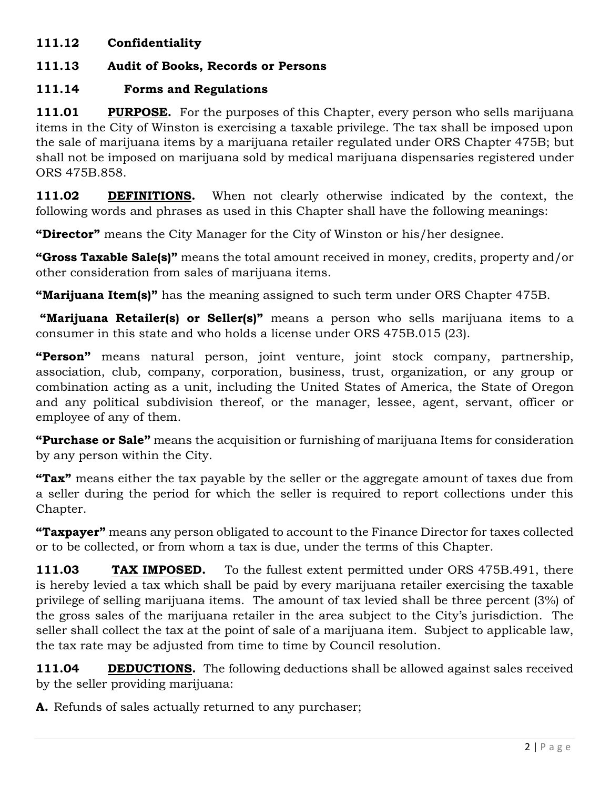#### **111.12 Confidentiality**

# **111.13 Audit of Books, Records or Persons**

# **111.14 Forms and Regulations**

**111.01 PURPOSE.** For the purposes of this Chapter, every person who sells marijuana items in the City of Winston is exercising a taxable privilege. The tax shall be imposed upon the sale of marijuana items by a marijuana retailer regulated under ORS Chapter 475B; but shall not be imposed on marijuana sold by medical marijuana dispensaries registered under ORS 475B.858.

**111.02 DEFINITIONS.** When not clearly otherwise indicated by the context, the following words and phrases as used in this Chapter shall have the following meanings:

**"Director"** means the City Manager for the City of Winston or his/her designee.

**"Gross Taxable Sale(s)"** means the total amount received in money, credits, property and/or other consideration from sales of marijuana items.

**"Marijuana Item(s)"** has the meaning assigned to such term under ORS Chapter 475B.

**"Marijuana Retailer(s) or Seller(s)"** means a person who sells marijuana items to a consumer in this state and who holds a license under ORS 475B.015 (23).

**"Person"** means natural person, joint venture, joint stock company, partnership, association, club, company, corporation, business, trust, organization, or any group or combination acting as a unit, including the United States of America, the State of Oregon and any political subdivision thereof, or the manager, lessee, agent, servant, officer or employee of any of them.

**"Purchase or Sale"** means the acquisition or furnishing of marijuana Items for consideration by any person within the City.

**"Tax"** means either the tax payable by the seller or the aggregate amount of taxes due from a seller during the period for which the seller is required to report collections under this Chapter.

**"Taxpayer"** means any person obligated to account to the Finance Director for taxes collected or to be collected, or from whom a tax is due, under the terms of this Chapter.

**111.03 TAX IMPOSED.** To the fullest extent permitted under ORS 475B.491, there is hereby levied a tax which shall be paid by every marijuana retailer exercising the taxable privilege of selling marijuana items. The amount of tax levied shall be three percent (3%) of the gross sales of the marijuana retailer in the area subject to the City's jurisdiction. The seller shall collect the tax at the point of sale of a marijuana item. Subject to applicable law, the tax rate may be adjusted from time to time by Council resolution.

**111.04 DEDUCTIONS.** The following deductions shall be allowed against sales received by the seller providing marijuana:

**A.** Refunds of sales actually returned to any purchaser;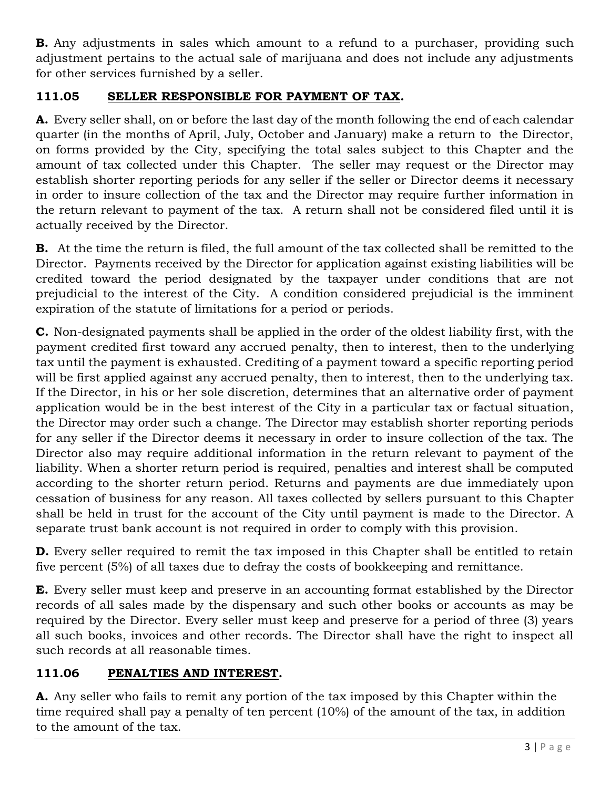**B.** Any adjustments in sales which amount to a refund to a purchaser, providing such adjustment pertains to the actual sale of marijuana and does not include any adjustments for other services furnished by a seller.

### **111.05 SELLER RESPONSIBLE FOR PAYMENT OF TAX.**

**A.** Every seller shall, on or before the last day of the month following the end of each calendar quarter (in the months of April, July, October and January) make a return to the Director, on forms provided by the City, specifying the total sales subject to this Chapter and the amount of tax collected under this Chapter. The seller may request or the Director may establish shorter reporting periods for any seller if the seller or Director deems it necessary in order to insure collection of the tax and the Director may require further information in the return relevant to payment of the tax. A return shall not be considered filed until it is actually received by the Director.

**B.** At the time the return is filed, the full amount of the tax collected shall be remitted to the Director. Payments received by the Director for application against existing liabilities will be credited toward the period designated by the taxpayer under conditions that are not prejudicial to the interest of the City. A condition considered prejudicial is the imminent expiration of the statute of limitations for a period or periods.

**C.** Non-designated payments shall be applied in the order of the oldest liability first, with the payment credited first toward any accrued penalty, then to interest, then to the underlying tax until the payment is exhausted. Crediting of a payment toward a specific reporting period will be first applied against any accrued penalty, then to interest, then to the underlying tax. If the Director, in his or her sole discretion, determines that an alternative order of payment application would be in the best interest of the City in a particular tax or factual situation, the Director may order such a change. The Director may establish shorter reporting periods for any seller if the Director deems it necessary in order to insure collection of the tax. The Director also may require additional information in the return relevant to payment of the liability. When a shorter return period is required, penalties and interest shall be computed according to the shorter return period. Returns and payments are due immediately upon cessation of business for any reason. All taxes collected by sellers pursuant to this Chapter shall be held in trust for the account of the City until payment is made to the Director. A separate trust bank account is not required in order to comply with this provision.

**D.** Every seller required to remit the tax imposed in this Chapter shall be entitled to retain five percent (5%) of all taxes due to defray the costs of bookkeeping and remittance.

**E.** Every seller must keep and preserve in an accounting format established by the Director records of all sales made by the dispensary and such other books or accounts as may be required by the Director. Every seller must keep and preserve for a period of three (3) years all such books, invoices and other records. The Director shall have the right to inspect all such records at all reasonable times.

# **111.06 PENALTIES AND INTEREST.**

**A.** Any seller who fails to remit any portion of the tax imposed by this Chapter within the time required shall pay a penalty of ten percent (10%) of the amount of the tax, in addition to the amount of the tax.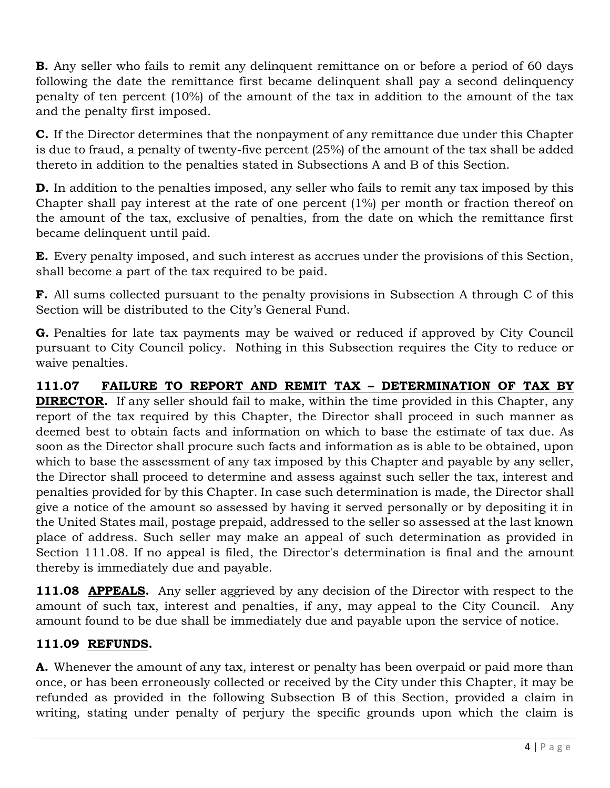**B.** Any seller who fails to remit any delinquent remittance on or before a period of 60 days following the date the remittance first became delinquent shall pay a second delinquency penalty of ten percent (10%) of the amount of the tax in addition to the amount of the tax and the penalty first imposed.

**C.** If the Director determines that the nonpayment of any remittance due under this Chapter is due to fraud, a penalty of twenty-five percent (25%) of the amount of the tax shall be added thereto in addition to the penalties stated in Subsections A and B of this Section.

**D.** In addition to the penalties imposed, any seller who fails to remit any tax imposed by this Chapter shall pay interest at the rate of one percent (1%) per month or fraction thereof on the amount of the tax, exclusive of penalties, from the date on which the remittance first became delinquent until paid.

**E.** Every penalty imposed, and such interest as accrues under the provisions of this Section, shall become a part of the tax required to be paid.

**F.** All sums collected pursuant to the penalty provisions in Subsection A through C of this Section will be distributed to the City's General Fund.

**G.** Penalties for late tax payments may be waived or reduced if approved by City Council pursuant to City Council policy. Nothing in this Subsection requires the City to reduce or waive penalties.

**111.07 FAILURE TO REPORT AND REMIT TAX – DETERMINATION OF TAX BY DIRECTOR.** If any seller should fail to make, within the time provided in this Chapter, any report of the tax required by this Chapter, the Director shall proceed in such manner as deemed best to obtain facts and information on which to base the estimate of tax due. As soon as the Director shall procure such facts and information as is able to be obtained, upon which to base the assessment of any tax imposed by this Chapter and payable by any seller, the Director shall proceed to determine and assess against such seller the tax, interest and penalties provided for by this Chapter. In case such determination is made, the Director shall give a notice of the amount so assessed by having it served personally or by depositing it in the United States mail, postage prepaid, addressed to the seller so assessed at the last known place of address. Such seller may make an appeal of such determination as provided in Section 111.08. If no appeal is filed, the Director's determination is final and the amount thereby is immediately due and payable.

111.08 **APPEALS.** Any seller aggrieved by any decision of the Director with respect to the amount of such tax, interest and penalties, if any, may appeal to the City Council. Any amount found to be due shall be immediately due and payable upon the service of notice.

### **111.09 REFUNDS.**

**A.** Whenever the amount of any tax, interest or penalty has been overpaid or paid more than once, or has been erroneously collected or received by the City under this Chapter, it may be refunded as provided in the following Subsection B of this Section, provided a claim in writing, stating under penalty of perjury the specific grounds upon which the claim is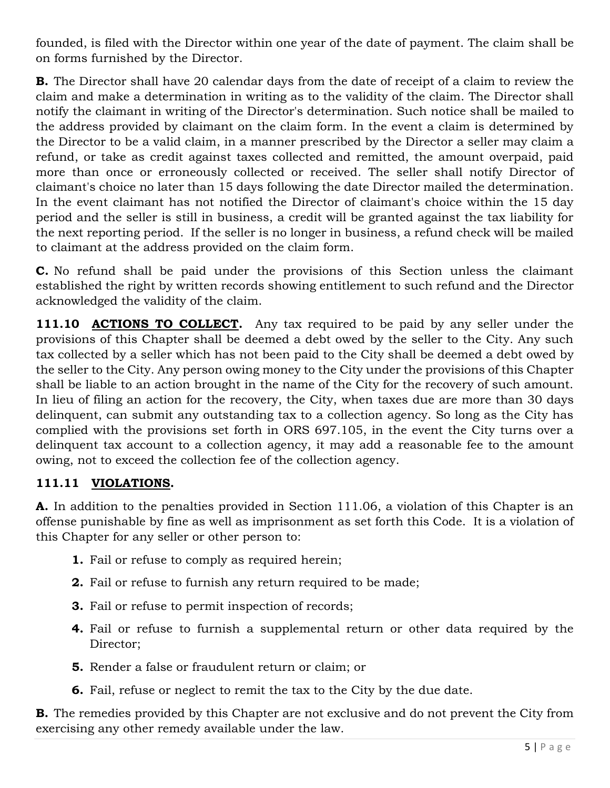founded, is filed with the Director within one year of the date of payment. The claim shall be on forms furnished by the Director.

**B.** The Director shall have 20 calendar days from the date of receipt of a claim to review the claim and make a determination in writing as to the validity of the claim. The Director shall notify the claimant in writing of the Director's determination. Such notice shall be mailed to the address provided by claimant on the claim form. In the event a claim is determined by the Director to be a valid claim, in a manner prescribed by the Director a seller may claim a refund, or take as credit against taxes collected and remitted, the amount overpaid, paid more than once or erroneously collected or received. The seller shall notify Director of claimant's choice no later than 15 days following the date Director mailed the determination. In the event claimant has not notified the Director of claimant's choice within the 15 day period and the seller is still in business, a credit will be granted against the tax liability for the next reporting period. If the seller is no longer in business, a refund check will be mailed to claimant at the address provided on the claim form.

**C.** No refund shall be paid under the provisions of this Section unless the claimant established the right by written records showing entitlement to such refund and the Director acknowledged the validity of the claim.

**111.10 ACTIONS TO COLLECT.** Any tax required to be paid by any seller under the provisions of this Chapter shall be deemed a debt owed by the seller to the City. Any such tax collected by a seller which has not been paid to the City shall be deemed a debt owed by the seller to the City. Any person owing money to the City under the provisions of this Chapter shall be liable to an action brought in the name of the City for the recovery of such amount. In lieu of filing an action for the recovery, the City, when taxes due are more than 30 days delinquent, can submit any outstanding tax to a collection agency. So long as the City has complied with the provisions set forth in ORS 697.105, in the event the City turns over a delinquent tax account to a collection agency, it may add a reasonable fee to the amount owing, not to exceed the collection fee of the collection agency.

### **111.11 VIOLATIONS.**

**A.** In addition to the penalties provided in Section 111.06, a violation of this Chapter is an offense punishable by fine as well as imprisonment as set forth this Code. It is a violation of this Chapter for any seller or other person to:

- **1.** Fail or refuse to comply as required herein;
- **2.** Fail or refuse to furnish any return required to be made;
- **3.** Fail or refuse to permit inspection of records;
- **4.** Fail or refuse to furnish a supplemental return or other data required by the Director;
- **5.** Render a false or fraudulent return or claim; or
- **6.** Fail, refuse or neglect to remit the tax to the City by the due date.

**B.** The remedies provided by this Chapter are not exclusive and do not prevent the City from exercising any other remedy available under the law.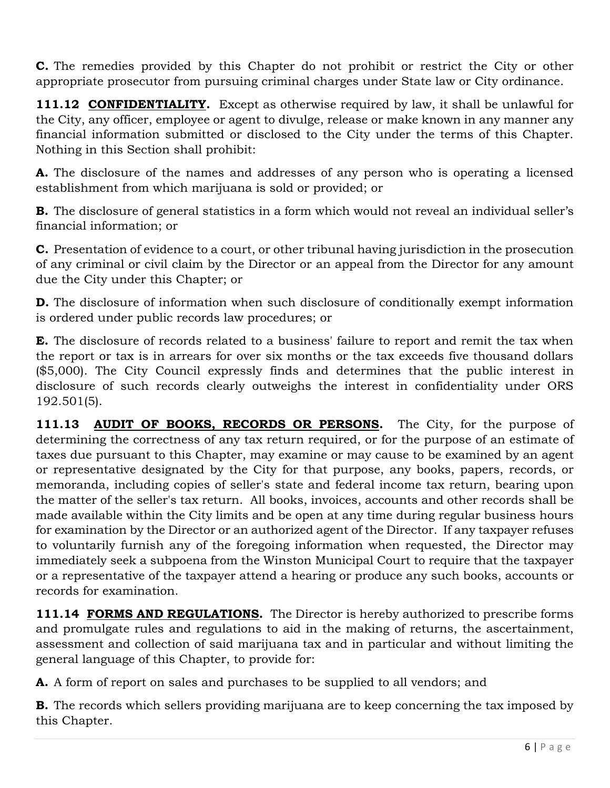**C.** The remedies provided by this Chapter do not prohibit or restrict the City or other appropriate prosecutor from pursuing criminal charges under State law or City ordinance.

**111.12 CONFIDENTIALITY.** Except as otherwise required by law, it shall be unlawful for the City, any officer, employee or agent to divulge, release or make known in any manner any financial information submitted or disclosed to the City under the terms of this Chapter. Nothing in this Section shall prohibit:

**A.** The disclosure of the names and addresses of any person who is operating a licensed establishment from which marijuana is sold or provided; or

**B.** The disclosure of general statistics in a form which would not reveal an individual seller's financial information; or

**C.** Presentation of evidence to a court, or other tribunal having jurisdiction in the prosecution of any criminal or civil claim by the Director or an appeal from the Director for any amount due the City under this Chapter; or

**D.** The disclosure of information when such disclosure of conditionally exempt information is ordered under public records law procedures; or

**E.** The disclosure of records related to a business' failure to report and remit the tax when the report or tax is in arrears for over six months or the tax exceeds five thousand dollars (\$5,000). The City Council expressly finds and determines that the public interest in disclosure of such records clearly outweighs the interest in confidentiality under ORS 192.501(5).

**111.13 AUDIT OF BOOKS, RECORDS OR PERSONS.** The City, for the purpose of determining the correctness of any tax return required, or for the purpose of an estimate of taxes due pursuant to this Chapter, may examine or may cause to be examined by an agent or representative designated by the City for that purpose, any books, papers, records, or memoranda, including copies of seller's state and federal income tax return, bearing upon the matter of the seller's tax return. All books, invoices, accounts and other records shall be made available within the City limits and be open at any time during regular business hours for examination by the Director or an authorized agent of the Director. If any taxpayer refuses to voluntarily furnish any of the foregoing information when requested, the Director may immediately seek a subpoena from the Winston Municipal Court to require that the taxpayer or a representative of the taxpayer attend a hearing or produce any such books, accounts or records for examination.

**111.14 FORMS AND REGULATIONS.** The Director is hereby authorized to prescribe forms and promulgate rules and regulations to aid in the making of returns, the ascertainment, assessment and collection of said marijuana tax and in particular and without limiting the general language of this Chapter, to provide for:

**A.** A form of report on sales and purchases to be supplied to all vendors; and

**B.** The records which sellers providing marijuana are to keep concerning the tax imposed by this Chapter.